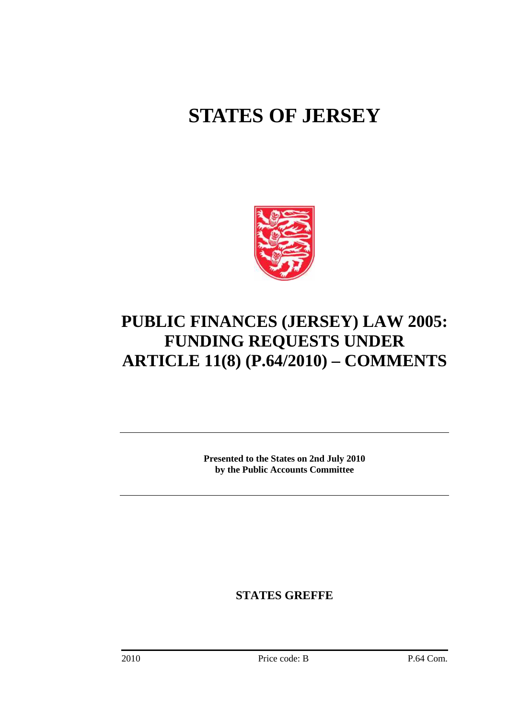# **STATES OF JERSEY**



# **PUBLIC FINANCES (JERSEY) LAW 2005: FUNDING REQUESTS UNDER ARTICLE 11(8) (P.64/2010) – COMMENTS**

**Presented to the States on 2nd July 2010 by the Public Accounts Committee** 

**STATES GREFFE**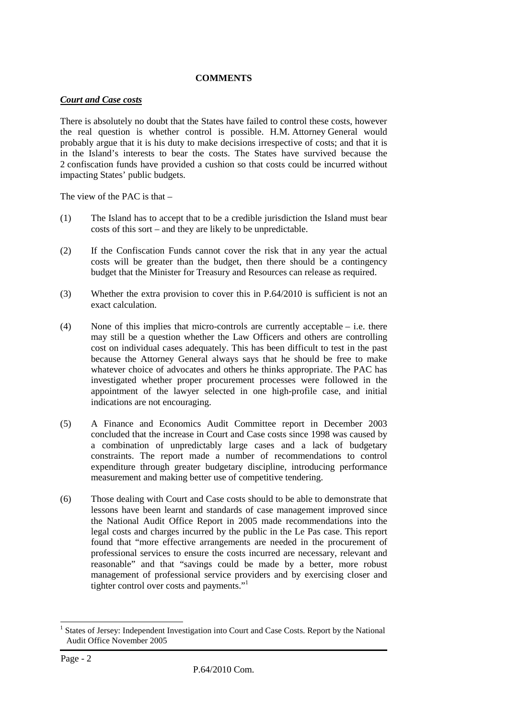# **COMMENTS**

# *Court and Case costs*

There is absolutely no doubt that the States have failed to control these costs, however the real question is whether control is possible. H.M. Attorney General would probably argue that it is his duty to make decisions irrespective of costs; and that it is in the Island's interests to bear the costs. The States have survived because the 2 confiscation funds have provided a cushion so that costs could be incurred without impacting States' public budgets.

The view of the PAC is that –

- (1) The Island has to accept that to be a credible jurisdiction the Island must bear costs of this sort – and they are likely to be unpredictable.
- (2) If the Confiscation Funds cannot cover the risk that in any year the actual costs will be greater than the budget, then there should be a contingency budget that the Minister for Treasury and Resources can release as required.
- (3) Whether the extra provision to cover this in P.64/2010 is sufficient is not an exact calculation.
- (4) None of this implies that micro-controls are currently acceptable i.e. there may still be a question whether the Law Officers and others are controlling cost on individual cases adequately. This has been difficult to test in the past because the Attorney General always says that he should be free to make whatever choice of advocates and others he thinks appropriate. The PAC has investigated whether proper procurement processes were followed in the appointment of the lawyer selected in one high-profile case, and initial indications are not encouraging.
- (5) A Finance and Economics Audit Committee report in December 2003 concluded that the increase in Court and Case costs since 1998 was caused by a combination of unpredictably large cases and a lack of budgetary constraints. The report made a number of recommendations to control expenditure through greater budgetary discipline, introducing performance measurement and making better use of competitive tendering.
- (6) Those dealing with Court and Case costs should to be able to demonstrate that lessons have been learnt and standards of case management improved since the National Audit Office Report in 2005 made recommendations into the legal costs and charges incurred by the public in the Le Pas case. This report found that "more effective arrangements are needed in the procurement of professional services to ensure the costs incurred are necessary, relevant and reasonable" and that "savings could be made by a better, more robust management of professional service providers and by exercising closer and tighter control over costs and payments."<sup>1</sup>

 $\overline{a}$ 1 States of Jersey: Independent Investigation into Court and Case Costs. Report by the National Audit Office November 2005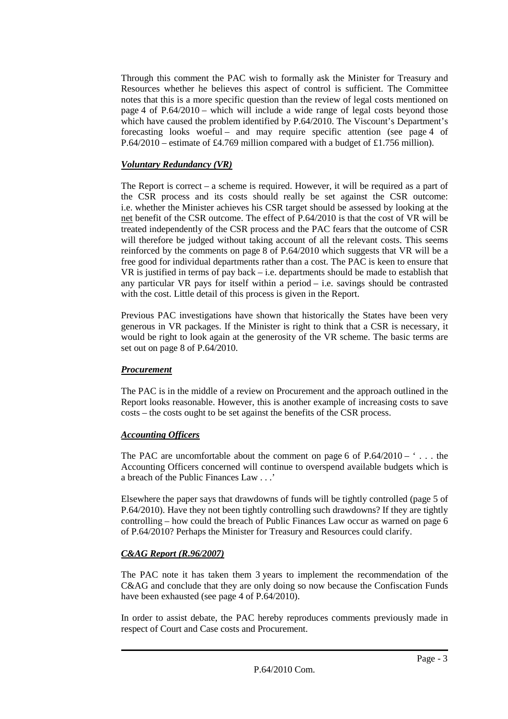Through this comment the PAC wish to formally ask the Minister for Treasury and Resources whether he believes this aspect of control is sufficient. The Committee notes that this is a more specific question than the review of legal costs mentioned on page 4 of P.64/2010 – which will include a wide range of legal costs beyond those which have caused the problem identified by P.64/2010. The Viscount's Department's forecasting looks woeful – and may require specific attention (see page 4 of P.64/2010 – estimate of £4.769 million compared with a budget of £1.756 million).

# *Voluntary Redundancy (VR)*

The Report is correct – a scheme is required. However, it will be required as a part of the CSR process and its costs should really be set against the CSR outcome: i.e. whether the Minister achieves his CSR target should be assessed by looking at the net benefit of the CSR outcome. The effect of P.64/2010 is that the cost of VR will be treated independently of the CSR process and the PAC fears that the outcome of CSR will therefore be judged without taking account of all the relevant costs. This seems reinforced by the comments on page 8 of P.64/2010 which suggests that VR will be a free good for individual departments rather than a cost. The PAC is keen to ensure that VR is justified in terms of pay back – i.e. departments should be made to establish that any particular VR pays for itself within a period – i.e. savings should be contrasted with the cost. Little detail of this process is given in the Report.

Previous PAC investigations have shown that historically the States have been very generous in VR packages. If the Minister is right to think that a CSR is necessary, it would be right to look again at the generosity of the VR scheme. The basic terms are set out on page 8 of P.64/2010.

# *Procurement*

The PAC is in the middle of a review on Procurement and the approach outlined in the Report looks reasonable. However, this is another example of increasing costs to save costs – the costs ought to be set against the benefits of the CSR process.

# *Accounting Officers*

The PAC are uncomfortable about the comment on page 6 of  $P.64/2010 - \ldots$  the Accounting Officers concerned will continue to overspend available budgets which is a breach of the Public Finances Law . . .'

Elsewhere the paper says that drawdowns of funds will be tightly controlled (page 5 of P.64/2010). Have they not been tightly controlling such drawdowns? If they are tightly controlling – how could the breach of Public Finances Law occur as warned on page 6 of P.64/2010? Perhaps the Minister for Treasury and Resources could clarify.

# *C&AG Report (R.96/2007)*

The PAC note it has taken them 3 years to implement the recommendation of the C&AG and conclude that they are only doing so now because the Confiscation Funds have been exhausted (see page 4 of P.64/2010).

In order to assist debate, the PAC hereby reproduces comments previously made in respect of Court and Case costs and Procurement.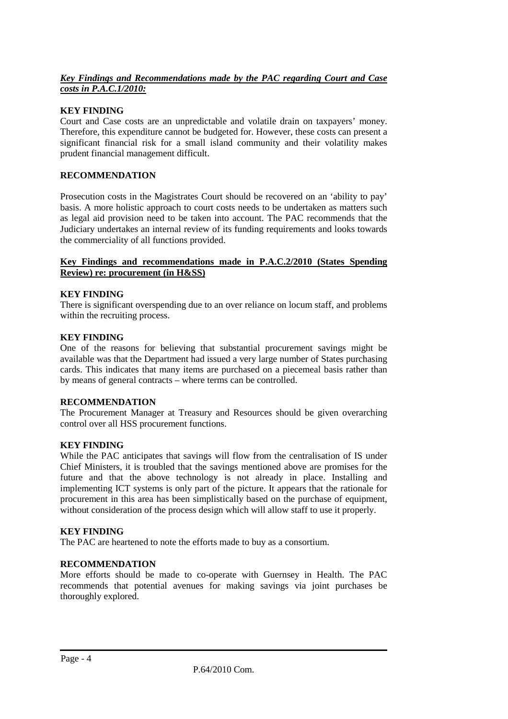# *Key Findings and Recommendations made by the PAC regarding Court and Case costs in P.A.C.1/2010:*

# **KEY FINDING**

Court and Case costs are an unpredictable and volatile drain on taxpayers' money. Therefore, this expenditure cannot be budgeted for. However, these costs can present a significant financial risk for a small island community and their volatility makes prudent financial management difficult.

# **RECOMMENDATION**

Prosecution costs in the Magistrates Court should be recovered on an 'ability to pay' basis. A more holistic approach to court costs needs to be undertaken as matters such as legal aid provision need to be taken into account. The PAC recommends that the Judiciary undertakes an internal review of its funding requirements and looks towards the commerciality of all functions provided.

#### **Key Findings and recommendations made in P.A.C.2/2010 (States Spending Review) re: procurement (in H&SS)**

#### **KEY FINDING**

There is significant overspending due to an over reliance on locum staff, and problems within the recruiting process.

#### **KEY FINDING**

One of the reasons for believing that substantial procurement savings might be available was that the Department had issued a very large number of States purchasing cards. This indicates that many items are purchased on a piecemeal basis rather than by means of general contracts – where terms can be controlled.

#### **RECOMMENDATION**

The Procurement Manager at Treasury and Resources should be given overarching control over all HSS procurement functions.

#### **KEY FINDING**

While the PAC anticipates that savings will flow from the centralisation of IS under Chief Ministers, it is troubled that the savings mentioned above are promises for the future and that the above technology is not already in place. Installing and implementing ICT systems is only part of the picture. It appears that the rationale for procurement in this area has been simplistically based on the purchase of equipment, without consideration of the process design which will allow staff to use it properly.

#### **KEY FINDING**

The PAC are heartened to note the efforts made to buy as a consortium.

#### **RECOMMENDATION**

More efforts should be made to co-operate with Guernsey in Health. The PAC recommends that potential avenues for making savings via joint purchases be thoroughly explored.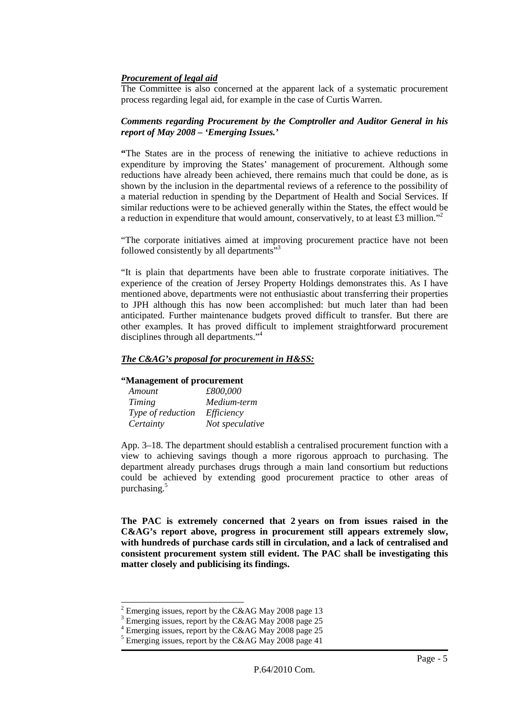# *Procurement of legal aid*

The Committee is also concerned at the apparent lack of a systematic procurement process regarding legal aid, for example in the case of Curtis Warren.

#### *Comments regarding Procurement by the Comptroller and Auditor General in his report of May 2008 – 'Emerging Issues.'*

**"**The States are in the process of renewing the initiative to achieve reductions in expenditure by improving the States' management of procurement. Although some reductions have already been achieved, there remains much that could be done, as is shown by the inclusion in the departmental reviews of a reference to the possibility of a material reduction in spending by the Department of Health and Social Services. If similar reductions were to be achieved generally within the States, the effect would be a reduction in expenditure that would amount, conservatively, to at least £3 million."

"The corporate initiatives aimed at improving procurement practice have not been followed consistently by all departments"<sup>3</sup>

"It is plain that departments have been able to frustrate corporate initiatives. The experience of the creation of Jersey Property Holdings demonstrates this. As I have mentioned above, departments were not enthusiastic about transferring their properties to JPH although this has now been accomplished: but much later than had been anticipated. Further maintenance budgets proved difficult to transfer. But there are other examples. It has proved difficult to implement straightforward procurement disciplines through all departments."<sup>4</sup>

#### *The C&AG's proposal for procurement in H&SS:*

#### **"Management of procurement**

| Amount            | £800,000        |
|-------------------|-----------------|
| Timing            | Medium-term     |
| Type of reduction | Efficiency      |
| Certainty         | Not speculative |

App. 3–18. The department should establish a centralised procurement function with a view to achieving savings though a more rigorous approach to purchasing. The department already purchases drugs through a main land consortium but reductions could be achieved by extending good procurement practice to other areas of purchasing.<sup>5</sup>

**The PAC is extremely concerned that 2 years on from issues raised in the C&AG's report above, progress in procurement still appears extremely slow, with hundreds of purchase cards still in circulation, and a lack of centralised and consistent procurement system still evident. The PAC shall be investigating this matter closely and publicising its findings.** 

 $\overline{a}$ 

<sup>&</sup>lt;sup>2</sup> Emerging issues, report by the C&AG May 2008 page 13

<sup>&</sup>lt;sup>3</sup> Emerging issues, report by the C&AG May 2008 page 25

<sup>&</sup>lt;sup>4</sup> Emerging issues, report by the C&AG May 2008 page 25

 $5$  Emerging issues, report by the C&AG May 2008 page 41